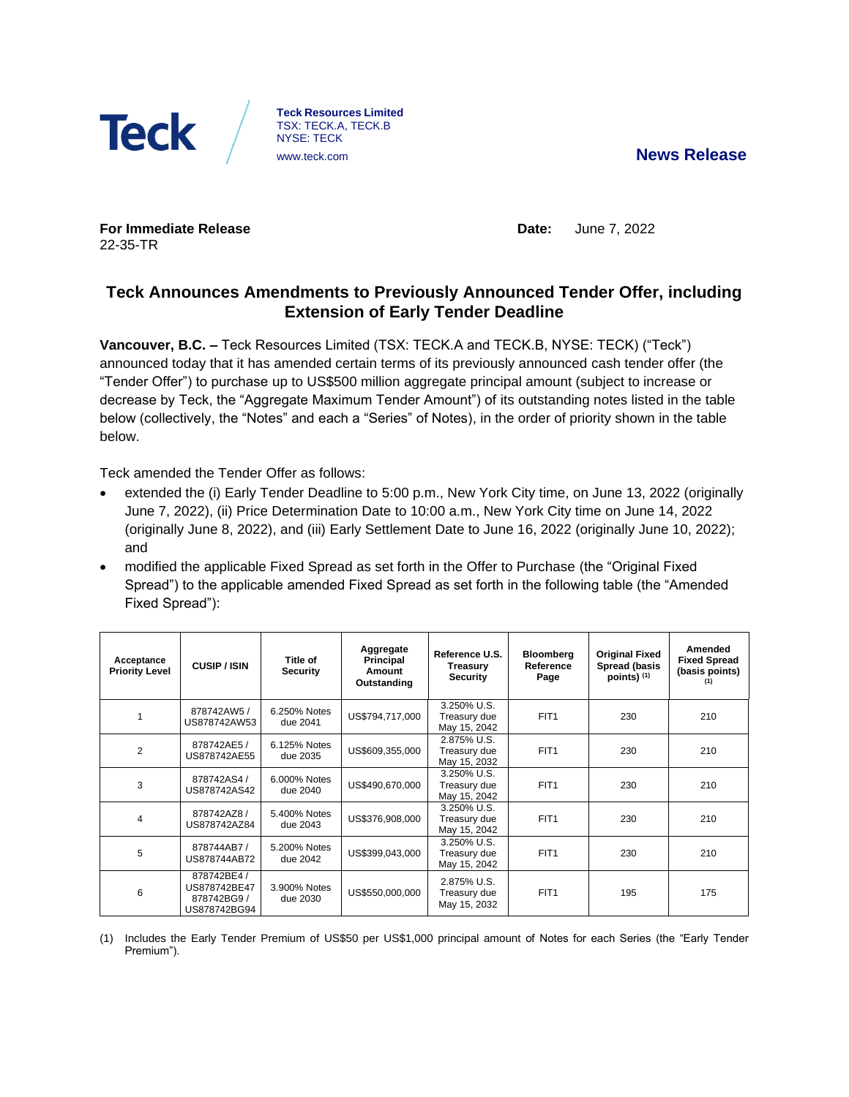

**Teck Resources Limited** TSX: TECK.A, TECK.B NYSE: TECK [www.teck.com](http://www.teck.com/) **News Release**

**For Immediate Release** 22-35-TR

**Date:** June 7, 2022

# **Teck Announces Amendments to Previously Announced Tender Offer, including Extension of Early Tender Deadline**

**Vancouver, B.C. –** Teck Resources Limited (TSX: TECK.A and TECK.B, NYSE: TECK) ("Teck") announced today that it has amended certain terms of its previously announced cash tender offer (the "Tender Offer") to purchase up to US\$500 million aggregate principal amount (subject to increase or decrease by Teck, the "Aggregate Maximum Tender Amount") of its outstanding notes listed in the table below (collectively, the "Notes" and each a "Series" of Notes), in the order of priority shown in the table below.

Teck amended the Tender Offer as follows:

- extended the (i) Early Tender Deadline to 5:00 p.m., New York City time, on June 13, 2022 (originally June 7, 2022), (ii) Price Determination Date to 10:00 a.m., New York City time on June 14, 2022 (originally June 8, 2022), and (iii) Early Settlement Date to June 16, 2022 (originally June 10, 2022); and
- modified the applicable Fixed Spread as set forth in the Offer to Purchase (the "Original Fixed Spread") to the applicable amended Fixed Spread as set forth in the following table (the "Amended Fixed Spread"):

| Acceptance<br><b>Priority Level</b> | <b>CUSIP/ISIN</b>                                          | Title of<br><b>Security</b> | Aggregate<br>Principal<br>Amount<br>Outstanding | Reference U.S.<br>Treasury<br><b>Security</b> | <b>Bloomberg</b><br>Reference<br>Page | <b>Original Fixed</b><br>Spread (basis<br>points) $(1)$ | Amended<br><b>Fixed Spread</b><br>(basis points) |
|-------------------------------------|------------------------------------------------------------|-----------------------------|-------------------------------------------------|-----------------------------------------------|---------------------------------------|---------------------------------------------------------|--------------------------------------------------|
|                                     | 878742AW5 /<br>US878742AW53                                | 6.250% Notes<br>due 2041    | US\$794,717,000                                 | 3.250% U.S.<br>Treasury due<br>May 15, 2042   | FIT <sub>1</sub>                      | 230                                                     | 210                                              |
| 2                                   | 878742AE5 /<br>US878742AE55                                | 6.125% Notes<br>due 2035    | US\$609,355,000                                 | 2.875% U.S.<br>Treasury due<br>May 15, 2032   | FIT <sub>1</sub>                      | 230                                                     | 210                                              |
| 3                                   | 878742AS4 /<br>US878742AS42                                | 6.000% Notes<br>due 2040    | US\$490,670,000                                 | 3.250% U.S.<br>Treasury due<br>May 15, 2042   | FIT <sub>1</sub>                      | 230                                                     | 210                                              |
| 4                                   | 878742AZ8/<br>US878742AZ84                                 | 5.400% Notes<br>due 2043    | US\$376,908,000                                 | 3.250% U.S.<br>Treasury due<br>May 15, 2042   | FIT <sub>1</sub>                      | 230                                                     | 210                                              |
| 5                                   | 878744AB7/<br>US878744AB72                                 | 5.200% Notes<br>due 2042    | US\$399,043,000                                 | 3.250% U.S.<br>Treasury due<br>May 15, 2042   | FIT <sub>1</sub>                      | 230                                                     | 210                                              |
| 6                                   | 878742BE4 /<br>US878742BE47<br>878742BG9 /<br>US878742BG94 | 3.900% Notes<br>due 2030    | US\$550,000,000                                 | 2.875% U.S.<br>Treasury due<br>May 15, 2032   | FIT <sub>1</sub>                      | 195                                                     | 175                                              |

(1) Includes the Early Tender Premium of US\$50 per US\$1,000 principal amount of Notes for each Series (the "Early Tender Premium").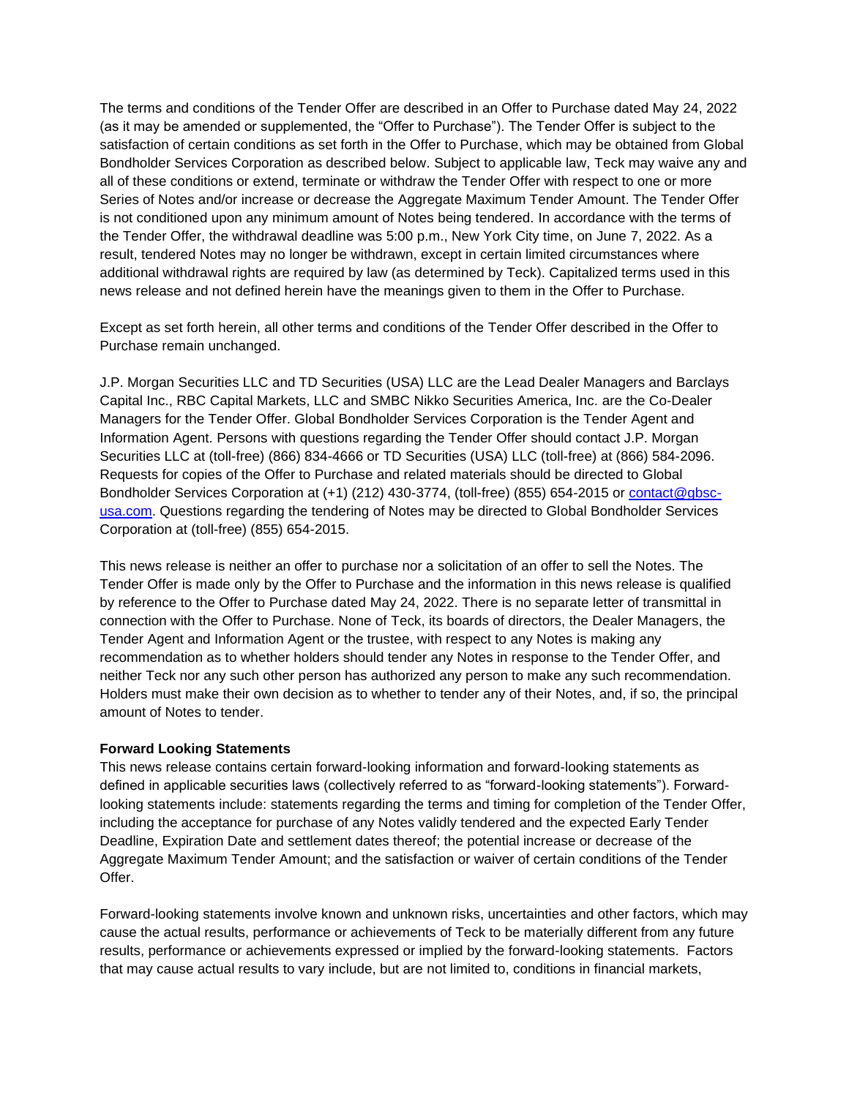The terms and conditions of the Tender Offer are described in an Offer to Purchase dated May 24, 2022 (as it may be amended or supplemented, the "Offer to Purchase"). The Tender Offer is subject to the satisfaction of certain conditions as set forth in the Offer to Purchase, which may be obtained from Global Bondholder Services Corporation as described below. Subject to applicable law, Teck may waive any and all of these conditions or extend, terminate or withdraw the Tender Offer with respect to one or more Series of Notes and/or increase or decrease the Aggregate Maximum Tender Amount. The Tender Offer is not conditioned upon any minimum amount of Notes being tendered. In accordance with the terms of the Tender Offer, the withdrawal deadline was 5:00 p.m., New York City time, on June 7, 2022. As a result, tendered Notes may no longer be withdrawn, except in certain limited circumstances where additional withdrawal rights are required by law (as determined by Teck). Capitalized terms used in this news release and not defined herein have the meanings given to them in the Offer to Purchase.

Except as set forth herein, all other terms and conditions of the Tender Offer described in the Offer to Purchase remain unchanged.

J.P. Morgan Securities LLC and TD Securities (USA) LLC are the Lead Dealer Managers and Barclays Capital Inc., RBC Capital Markets, LLC and SMBC Nikko Securities America, Inc. are the Co-Dealer Managers for the Tender Offer. Global Bondholder Services Corporation is the Tender Agent and Information Agent. Persons with questions regarding the Tender Offer should contact J.P. Morgan Securities LLC at (toll-free) (866) 834-4666 or TD Securities (USA) LLC (toll-free) at (866) 584-2096. Requests for copies of the Offer to Purchase and related materials should be directed to Global Bondholder Services Corporation at (+1) (212) 430-3774, (toll-free) (855) 654-2015 or [contact@gbsc](mailto:contact@gbsc-usa.com)[usa.com.](mailto:contact@gbsc-usa.com) Questions regarding the tendering of Notes may be directed to Global Bondholder Services Corporation at (toll-free) (855) 654-2015.

This news release is neither an offer to purchase nor a solicitation of an offer to sell the Notes. The Tender Offer is made only by the Offer to Purchase and the information in this news release is qualified by reference to the Offer to Purchase dated May 24, 2022. There is no separate letter of transmittal in connection with the Offer to Purchase. None of Teck, its boards of directors, the Dealer Managers, the Tender Agent and Information Agent or the trustee, with respect to any Notes is making any recommendation as to whether holders should tender any Notes in response to the Tender Offer, and neither Teck nor any such other person has authorized any person to make any such recommendation. Holders must make their own decision as to whether to tender any of their Notes, and, if so, the principal amount of Notes to tender.

### **Forward Looking Statements**

This news release contains certain forward-looking information and forward-looking statements as defined in applicable securities laws (collectively referred to as "forward-looking statements"). Forwardlooking statements include: statements regarding the terms and timing for completion of the Tender Offer, including the acceptance for purchase of any Notes validly tendered and the expected Early Tender Deadline, Expiration Date and settlement dates thereof; the potential increase or decrease of the Aggregate Maximum Tender Amount; and the satisfaction or waiver of certain conditions of the Tender Offer.

Forward-looking statements involve known and unknown risks, uncertainties and other factors, which may cause the actual results, performance or achievements of Teck to be materially different from any future results, performance or achievements expressed or implied by the forward-looking statements. Factors that may cause actual results to vary include, but are not limited to, conditions in financial markets,